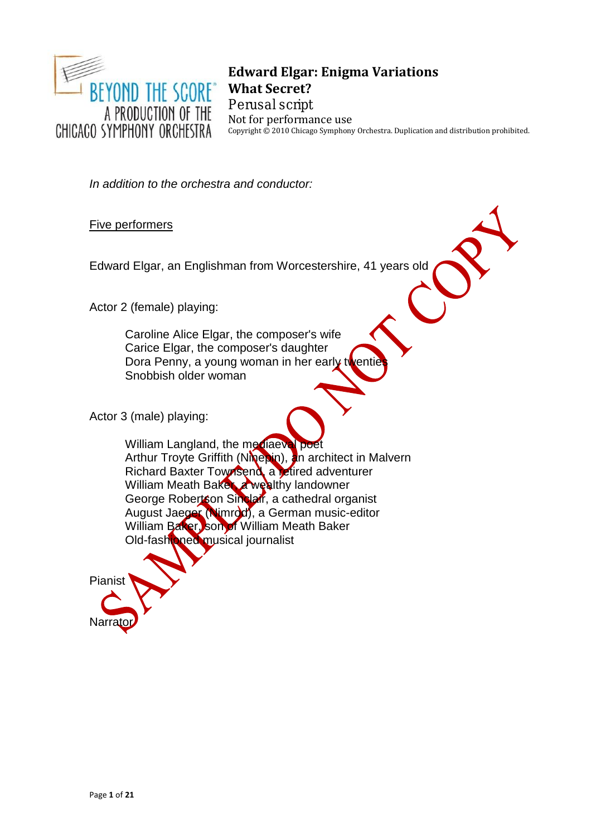

# **Edward Elgar: Enigma Variations What Secret?**

**Perusal script** Not for performance use Copyright © 2010 Chicago Symphony Orchestra. Duplication and distribution prohibited.

*In addition to the orchestra and conductor:*

Five performers

Edward Elgar, an Englishman from Worcestershire, 41 years old

Actor 2 (female) playing:

Caroline Alice Elgar, the composer's wife Carice Elgar, the composer's daughter Dora Penny, a young woman in her early twentight Snobbish older woman

Actor 3 (male) playing:

William Langland, the mediaeval poet Arthur Troyte Griffith (Ninepin), an architect in Malvern Richard Baxter Townsend, a retired adventurer William Meath Baker, a wealthy landowner George Robertson Sinclair, a cathedral organist August Jaeger (Nimrod), a German music-editor William Baker, son of William Meath Baker Old-fashioned musical journalist

Pianist Narra

Page **1** of **21**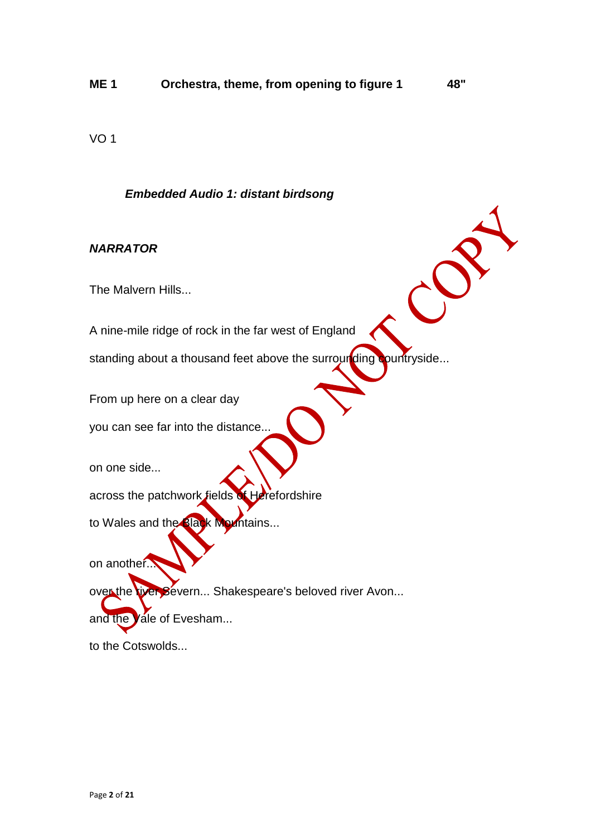VO 1

#### *Embedded Audio 1: distant birdsong*

#### *NARRATOR*

The Malvern Hills...

A nine-mile ridge of rock in the far west of England

standing about a thousand feet above the surrounding countryside...

From up here on a clear day

you can see far into the distance...

on one side...

across the patchwork fields of Herefordshire

to Wales and the Black Mountains...

on another...

over the tiver Severn... Shakespeare's beloved river Avon...

and the Vale of Evesham...

to the Cotswolds...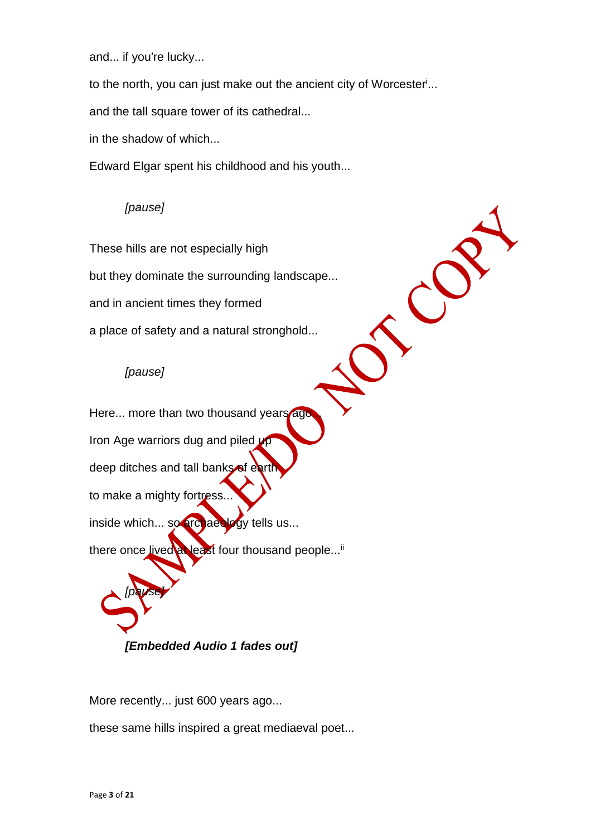and... if you're lucky...

to the north, you can just make out the ancient city of Worcester<sup>i</sup> ...

and the tall square tower of its cathedral...

in the shadow of which...

Edward Elgar spent his childhood and his youth...

#### *[pause]*

These hills are not especially high

but they dominate the surrounding landscape...

and in ancient times they formed

a place of safety and a natural stronghold...

#### *[pause]*

Here... more than two thousand years ago. Iron Age warriors dug and piled up deep ditches and tall banks of eart to make a mighty fortress... inside which... so archaeology tells us... there once lived at least four thousand people...<sup>ii</sup> *[pause]*

*[Embedded Audio 1 fades out]*

More recently... just 600 years ago...

these same hills inspired a great mediaeval poet...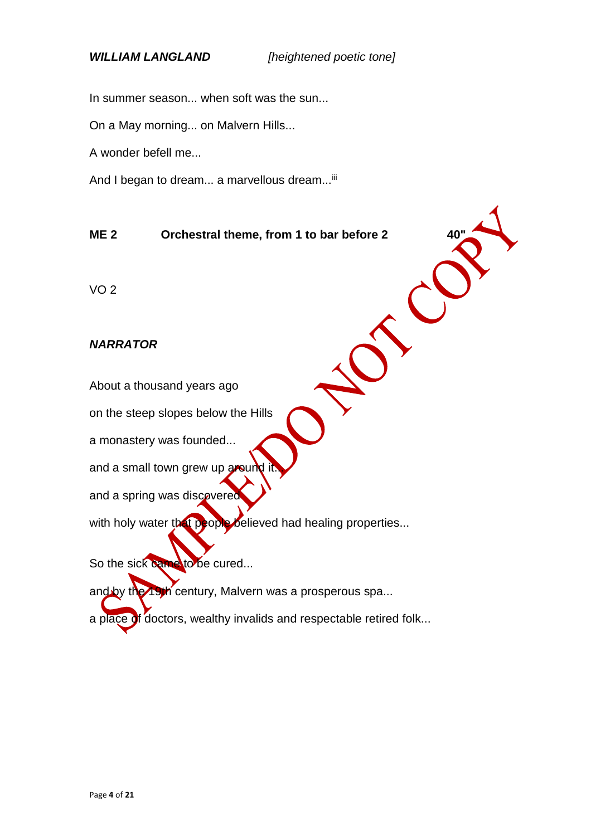In summer season... when soft was the sun...

On a May morning... on Malvern Hills...

A wonder befell me...

And I began to dream... a marvellous dream...<sup>iii</sup>

#### **ME 2 Orchestral theme, from 1 to bar before 2**

VO 2

#### *NARRATOR*

About a thousand years ago

on the steep slopes below the Hills

a monastery was founded...

and a small town grew up around

and a spring was discovered

with holy water that people believed had healing properties...

So the sick came to be cured...

and by the 19th century, Malvern was a prosperous spa...

a place of doctors, wealthy invalids and respectable retired folk...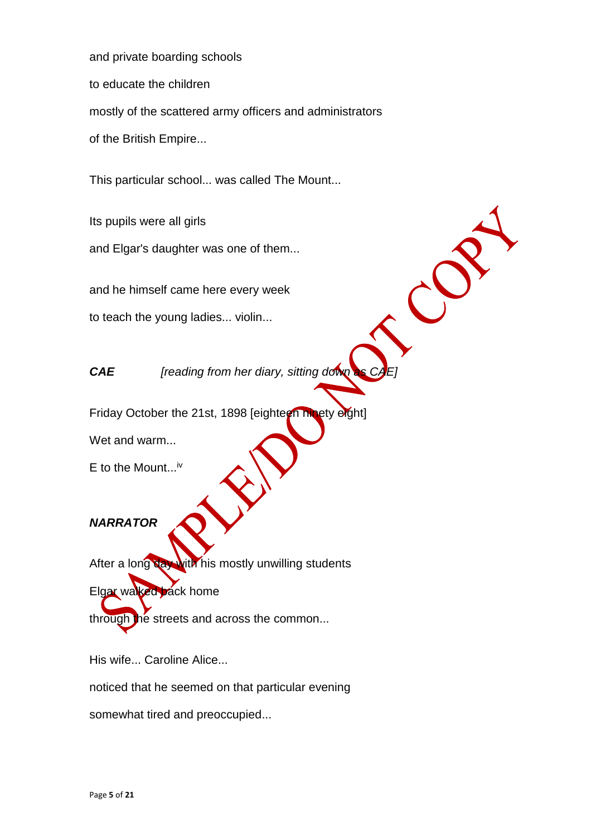and private boarding schools to educate the children mostly of the scattered army officers and administrators of the British Empire...

This particular school... was called The Mount...

Its pupils were all girls and Elgar's daughter was one of them...

and he himself came here every week

to teach the young ladies... violin...

*CAE [reading from her diary, sitting down* 

Friday October the 21st, 1898 [eighteen ninety eight]

Wet and warm...

E to the Mount...<sup>iv</sup>

# *NARRATOR*

After a long day with his mostly unwilling students Elgar walked back home

through the streets and across the common...

His wife... Caroline Alice...

noticed that he seemed on that particular evening

somewhat tired and preoccupied...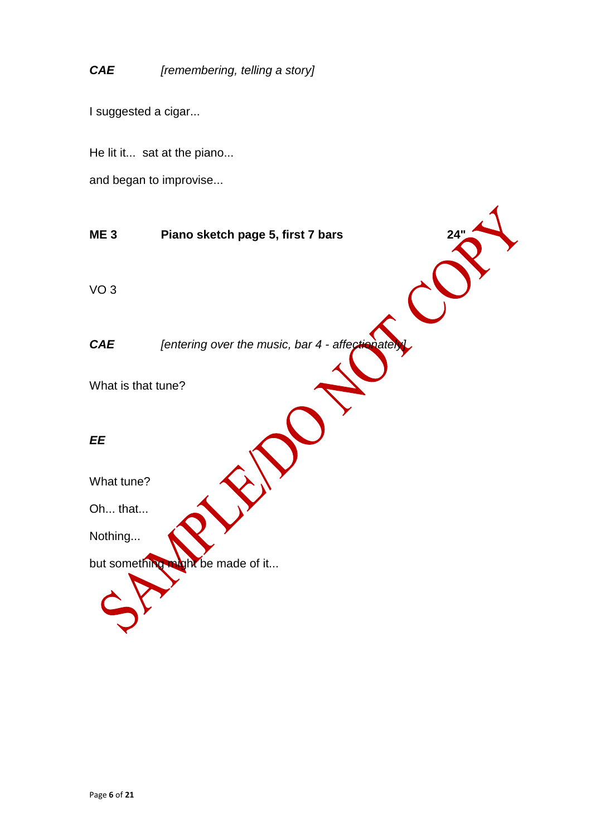# *CAE [remembering, telling a story]*

I suggested a cigar...

He lit it... sat at the piano...

and began to improvise...

**ME 3 Piano sketch page 5, first 7 bars 24"** VO 3 *CAE [entering over the music, bar 4 - affectionately* What is that tune? *EE* What tune? Oh... that... Nothing... but something might be made of it...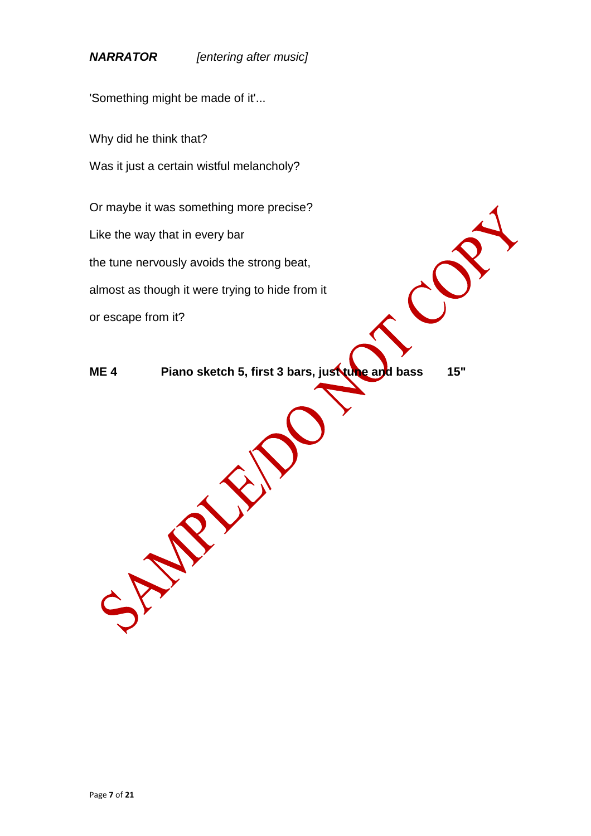*NARRATOR [entering after music]*

'Something might be made of it'...

Why did he think that?

Was it just a certain wistful melancholy?

Or maybe it was something more precise?

Like the way that in every bar

the tune nervously avoids the strong beat,

SPRINGS O

almost as though it were trying to hide from it

or escape from it?

**ME 4 Piano sketch 5, first 3 bars, just tune and bass 15"**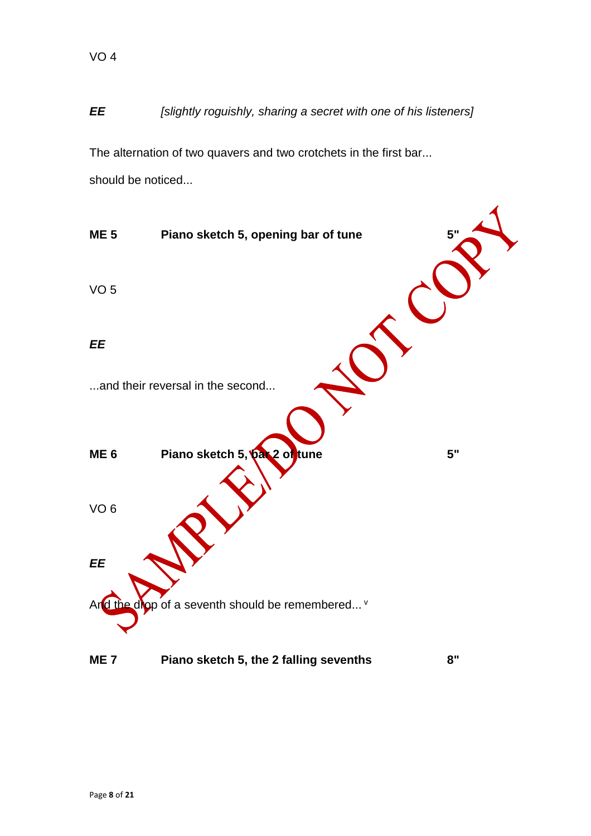# *EE [slightly roguishly, sharing a secret with one of his listeners]*

The alternation of two quavers and two crotchets in the first bar... should be noticed...

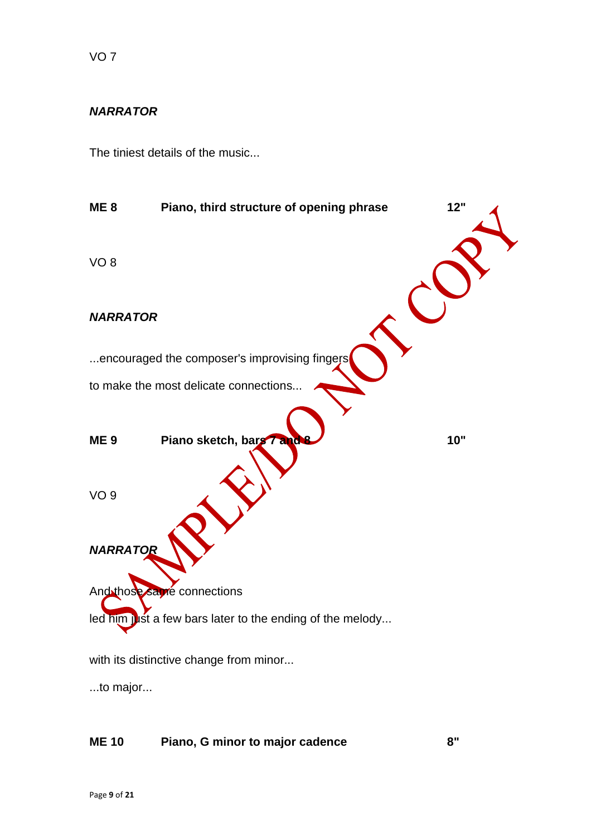# *NARRATOR*

The tiniest details of the music...



...to major...

# **ME 10 Piano, G minor to major cadence 8"**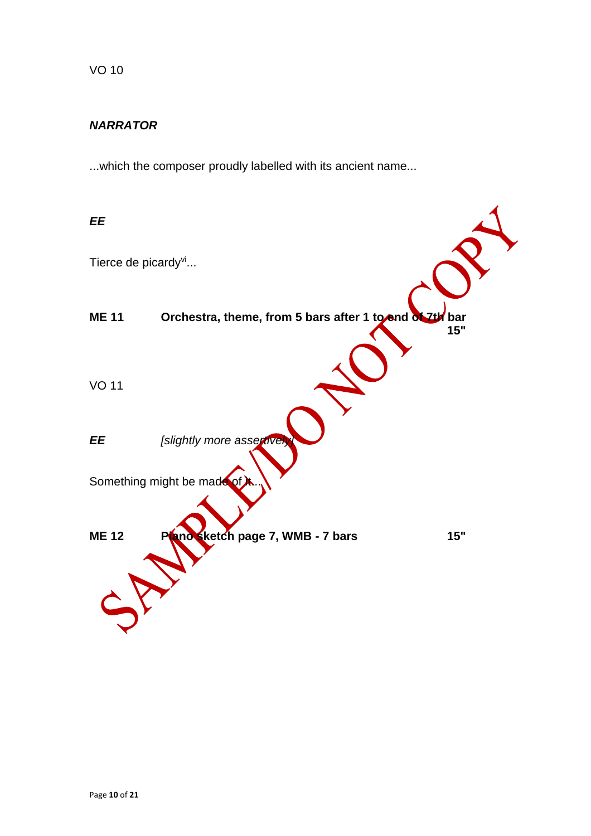# *NARRATOR*

...which the composer proudly labelled with its ancient name...

| EE                              |                                                         |     |
|---------------------------------|---------------------------------------------------------|-----|
| Tierce de picardy <sup>vi</sup> |                                                         |     |
| <b>ME 11</b>                    | Orchestra, theme, from 5 bars after 1 to and of 7th bar | 15" |
| <b>VO 11</b>                    |                                                         |     |
| EE                              | [slightly more assertively                              |     |
|                                 | Something might be made of                              |     |
| <b>ME 12</b>                    | Plano sketch page 7, WMB - 7 bars                       | 15" |
|                                 |                                                         |     |
|                                 |                                                         |     |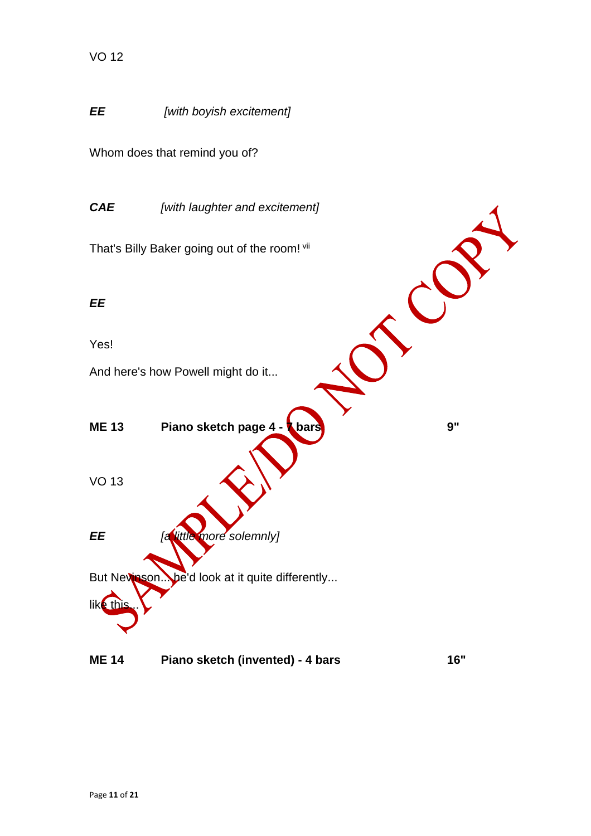

## **ME 14 Piano sketch (invented) - 4 bars 16"**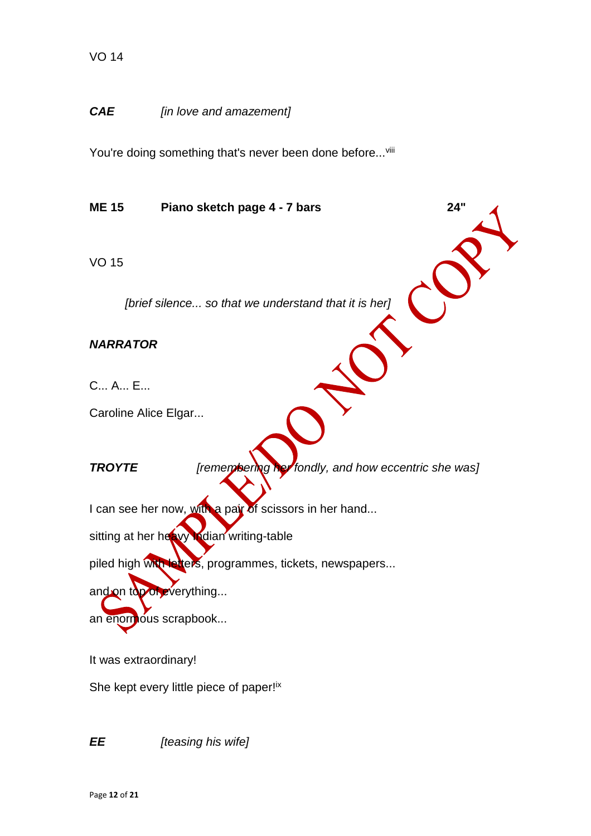#### *CAE [in love and amazement]*

You're doing something that's never been done before...viii

**ME 15 Piano sketch page 4 - 7 bars 24"**

VO 15

*[brief silence... so that we understand that it is her]*

*NARRATOR*

C... A... E...

Caroline Alice Elgar...

*TROYTE [remembering her fondly, and how eccentric she was]*

I can see her now, with a pair of scissors in her hand...

sitting at her heavy **Indian writing-table** 

piled high with letters, programmes, tickets, newspapers...

and on top of everything...

an enormous scrapbook...

It was extraordinary!

She kept every little piece of paper!<sup>ix</sup>

*EE [teasing his wife]*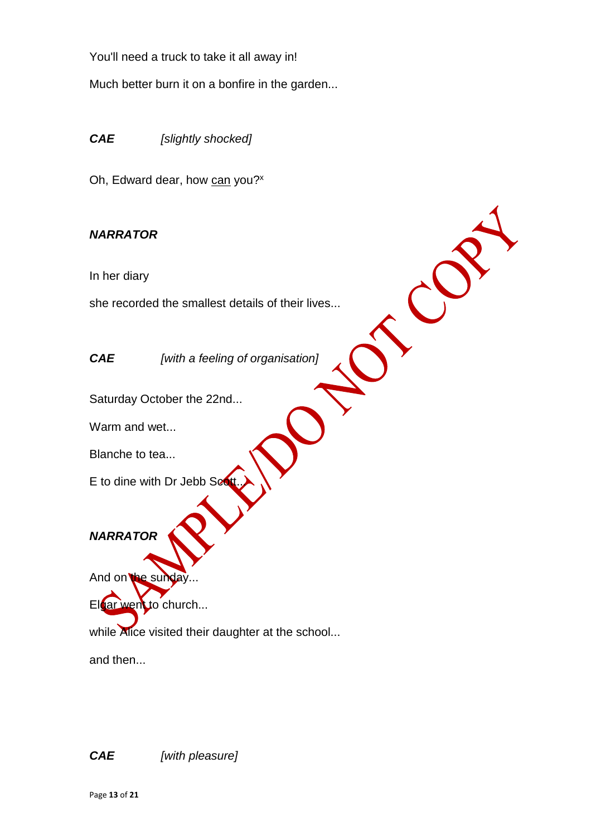You'll need a truck to take it all away in!

Much better burn it on a bonfire in the garden...

*CAE [slightly shocked]*

Oh, Edward dear, how can you?<sup>x</sup>

# *NARRATOR*

In her diary

she recorded the smallest details of their lives...

*CAE [with a feeling of organisation]*

Saturday October the 22nd...

Warm and wet...

Blanche to tea...

E to dine with Dr Jebb Scott.

*NARRATOR*

And on the sunday

Elgar went to church...

while Alice visited their daughter at the school...

and then...

*CAE [with pleasure]*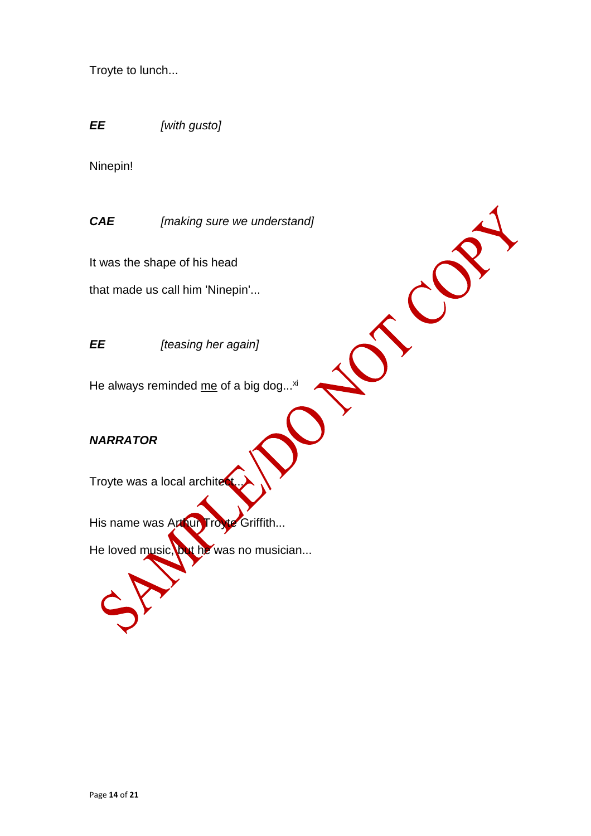Troyte to lunch...

*EE [with gusto]*

Ninepin!

*CAE [making sure we understand]*

TUS

It was the shape of his head

that made us call him 'Ninepin'...

#### *EE [teasing her again]*

He always reminded  $me$  of a big dog... $xi$ 

#### *NARRATOR*

Troyte was a local archite

His name was Arthur Troyte Griffith...

He loved music, but he was no musician...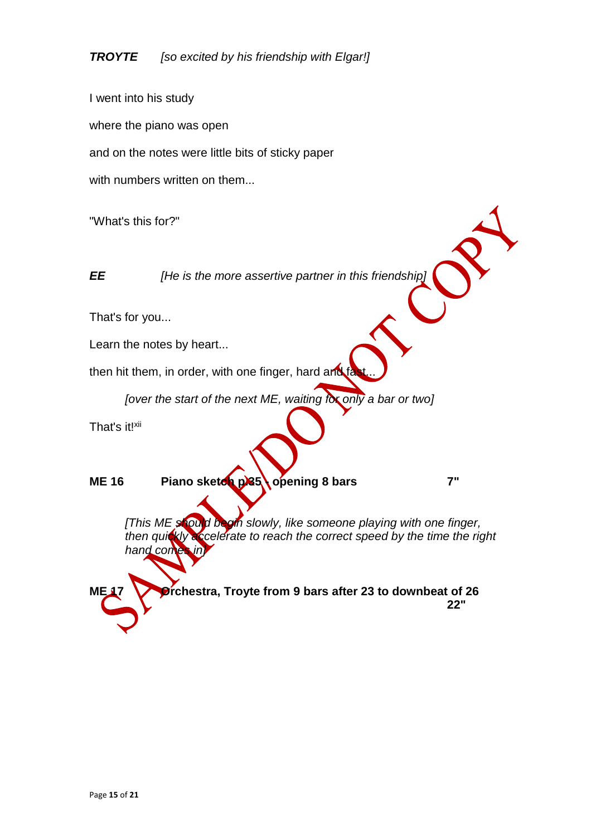I went into his study where the piano was open and on the notes were little bits of sticky paper with numbers written on them...

"What's this for?"

*EE [He is the more assertive partner in this friendship]*

That's for you...

Learn the notes by heart...

then hit them, in order, with one finger, hard and  $f_c^2$ 

*[over the start of the next ME, waiting for only a bar or two]*

That's it!xii

**ME 16** Piano sketch p.35 opening 8 bars **7** 

*[This ME should begin slowly, like someone playing with one finger,* then quickly accelerate to reach the correct speed by the time the right *hand comes* 

**ME 17 Orchestra, Troyte from 9 bars after 23 to downbeat of 26 22"**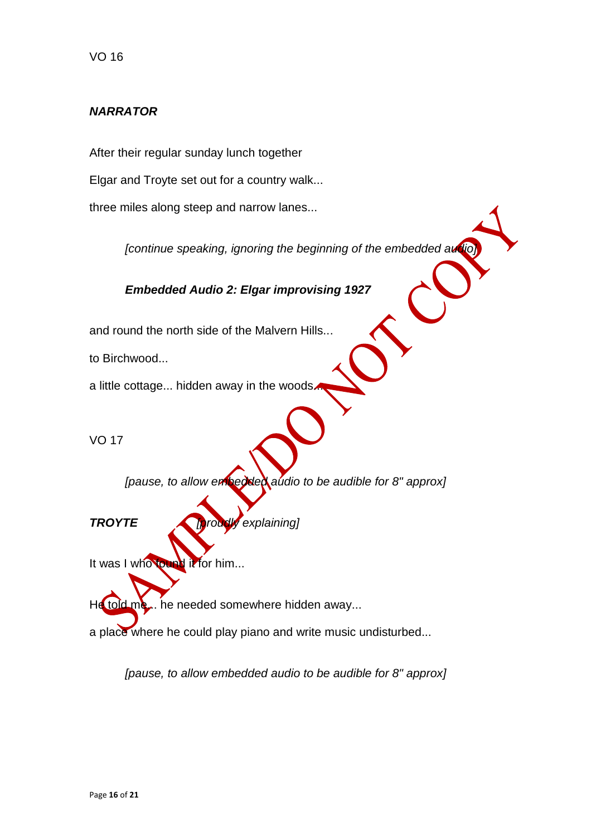#### *NARRATOR*

After their regular sunday lunch together

Elgar and Troyte set out for a country walk...

three miles along steep and narrow lanes...

*[continue speaking, ignoring the beginning of the embedded audio]*

*Embedded Audio 2: Elgar improvising 1927*

and round the north side of the Malvern Hills...

to Birchwood...

a little cottage... hidden away in the woods.

VO 17

*[pause, to allow embedded audio to be audible for 8" approx]*

*TROYTE [proudly explaining]*

It was I who found it for him...

He told me... he needed somewhere hidden away...

a place where he could play piano and write music undisturbed...

*[pause, to allow embedded audio to be audible for 8" approx]*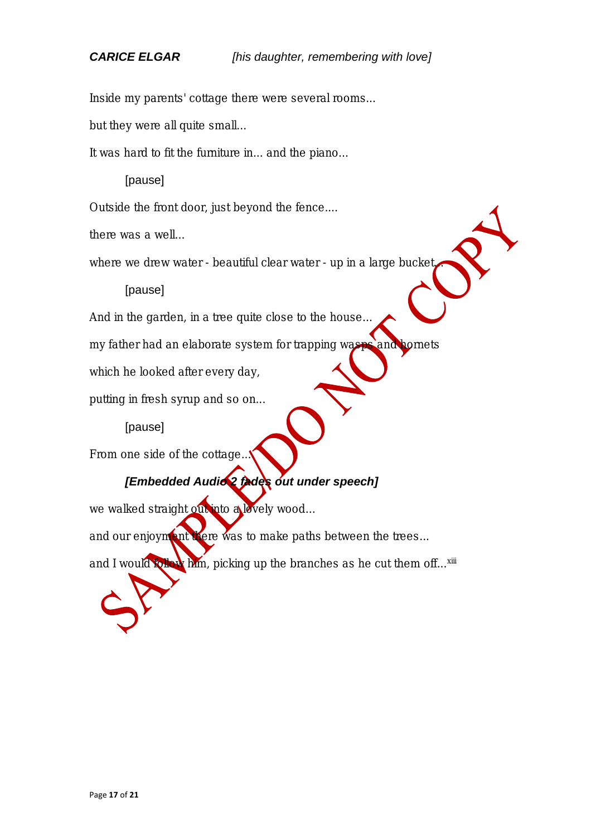**Inside my parents' cottage there were several rooms...**

**but they were all quite small...**

**It was hard to fit the furniture in... and the piano...**

# *[pause]*

**Outside the front door, just beyond the fence....**

**there was a well...** 

**where we drew water - beautiful clear water - up in a large bucket...** 

# *[pause]*

**And in the garden, in a tree quite close to the house...**

**my father had an elaborate system for trapping wasps and hornets**

**which he looked after every day,**

**putting in fresh syrup and so on...**

# *[pause]*

**From one side of the cottage...**

# *[Embedded Audio 2 fades out under speech]*

we walked straight out into a lovely wood...

**and our enjoyment there was to make paths between the trees...**

and I would **follow him, picking up the branches as he cut them off...<sup>xiii</sup>**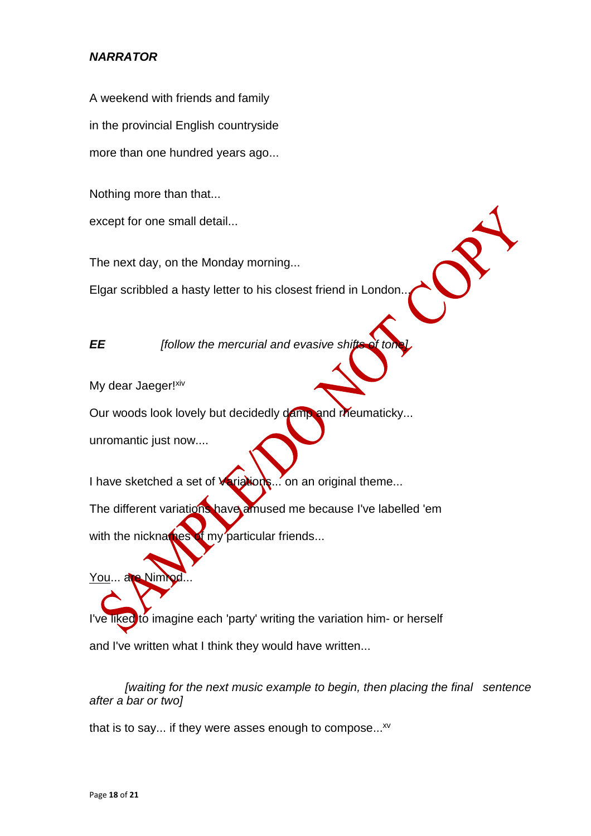# *NARRATOR*

A weekend with friends and family in the provincial English countryside more than one hundred years ago...

Nothing more than that...

except for one small detail...

The next day, on the Monday morning...

Elgar scribbled a hasty letter to his closest friend in London...

*EE <i>ffollow the mercurial and evasive shifts* 

My dear Jaeger!<sup>xiv</sup>

Our woods look lovely but decidedly damp and rheumaticky...

unromantic just now....

You... are Nim

I have sketched a set of **Variations**... on an original theme...

The different variations have amused me because I've labelled 'em with the nicknames  $\bullet$  my particular friends...

I've liked to imagine each 'party' writing the variation him- or herself and I've written what I think they would have written...

*[waiting for the next music example to begin, then placing the final sentence after a bar or two]*

that is to say... if they were asses enough to compose... $^{xy}$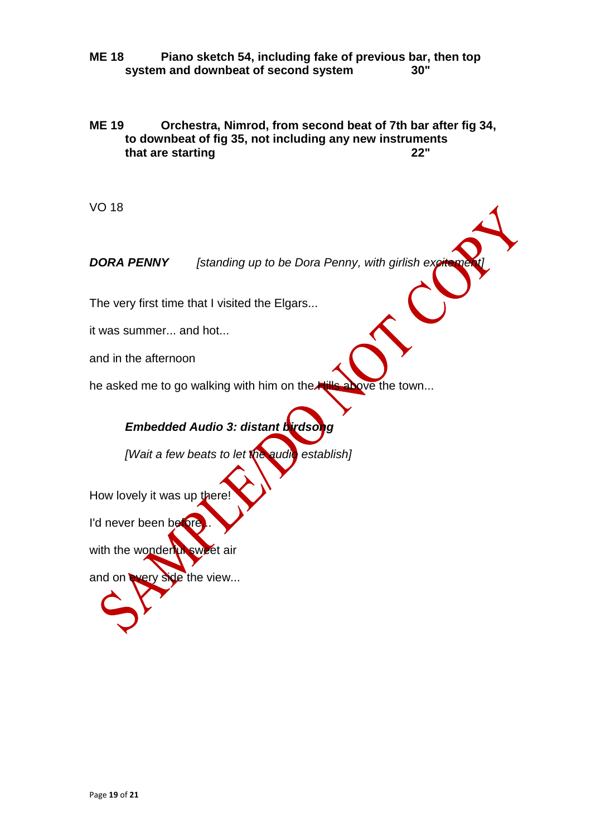#### **ME 18 Piano sketch 54, including fake of previous bar, then top system and downbeat of second system 30"**

#### **ME 19 Orchestra, Nimrod, from second beat of 7th bar after fig 34, to downbeat of fig 35, not including any new instruments that are starting**

VO 18

**DORA PENNY** *[standing up to be Dora Penny, with girlish excitement]* 

The very first time that I visited the Elgars...

it was summer... and hot...

and in the afternoon

he asked me to go walking with him on the Hills above the town...

# *Embedded Audio 3: distant birdsong*

*[Wait a few beats to let the audio establish]*

How lovely it was up there

I'd never been before

with the wonderful sweet air

and on every side the view...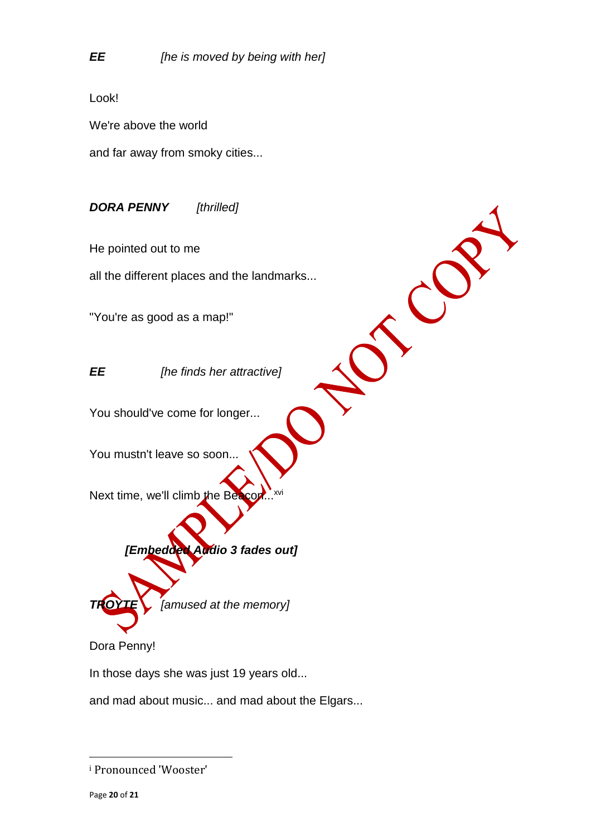Look!

We're above the world

and far away from smoky cities...

*DORA PENNY [thrilled]*

He pointed out to me

all the different places and the landmarks...

"You're as good as a map!"

*EE [he finds her attractive]*

You should've come for longer...

You mustn't leave so soon...

Next time, we'll climb the Be





Dora Penny!

In those days she was just 19 years old...

and mad about music... and mad about the Elgars...

 $\overline{a}$ 

<sup>i</sup> Pronounced 'Wooster'